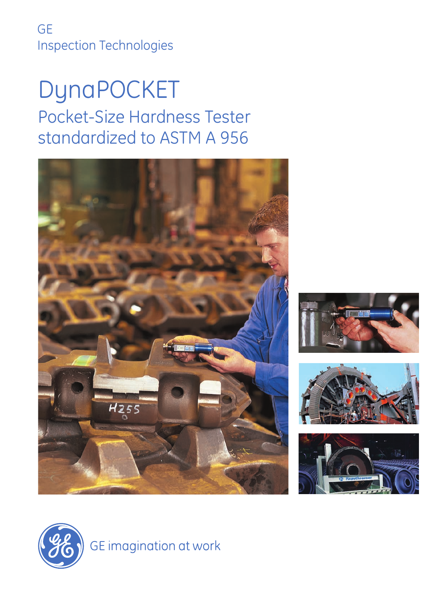GE Inspection Technologies

# DynaPOCKET Pocket-Size Hardness Tester standardized to ASTM A 956











GE imagination at work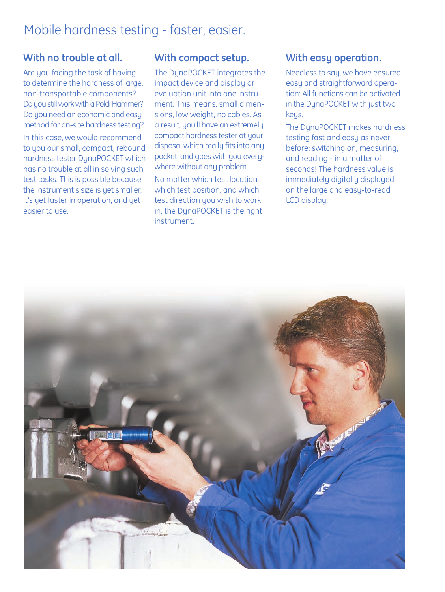# Mobile hardness testing - faster, easier.

# **With no trouble at all.**

Are you facing the task of having to determine the hardness of large, non-transportable components? Do you still work with a Poldi Hammer? Do you need an economic and easy method for on-site hardness testing? In this case, we would recommend to you our small, compact, rebound hardness tester DynaPOCKET which has no trouble at all in solving such test tasks. This is possible because the instrument's size is yet smaller, it's yet faster in operation, and yet easier to use.

## **With compact setup.**

The DynaPOCKET integrates the impact device and display or evaluation unit into one instrument. This means: small dimensions, low weight, no cables. As a result, you'll have an extremely compact hardness tester at your disposal which really fits into any pocket, and goes with you everywhere without any problem. No matter which test location, which test position, and which test direction you wish to work in, the DynaPOCKET is the right instrument.

### **With easy operation.**

Needless to say, we have ensured easy and straightforward operation: All functions can be activated in the DynaPOCKET with just two keys.

The DynaPOCKET makes hardness testing fast and easy as never before: switching on, measuring, and reading - in a matter of seconds! The hardness value is immediately digitally displayed on the large and easy-to-read LCD display.

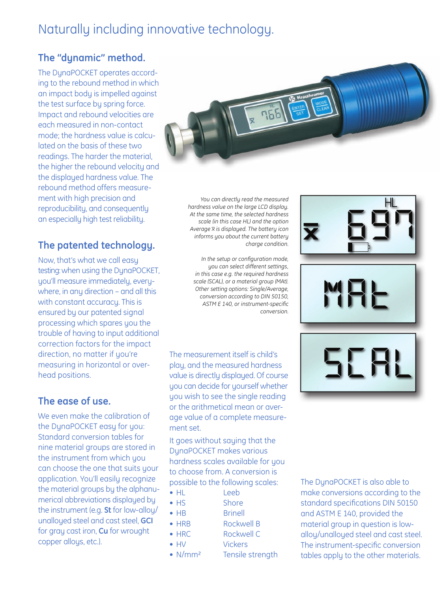# Naturally including innovative technology.

# **The "dynamic" method.**

The DynaPOCKET operates according to the rebound method in which an impact body is impelled against the test surface by spring force. Impact and rebound velocities are each measured in non-contact mode; the hardness value is calculated on the basis of these two readings. The harder the material, the higher the rebound velocity and the displayed hardness value. The rebound method offers measurement with high precision and reproducibility, and consequently an especially high test reliability.

# **The patented technology.**

Now, that's what we call easy testing: when using the DynaPOCKET, you'll measure immediately, everywhere, in any direction – and all this with constant accuracy. This is ensured by our patented signal processing which spares you the trouble of having to input additional correction factors for the impact direction, no matter if you're measuring in horizontal or overhead positions.

# **The ease of use.**

We even make the calibration of the DynaPOCKET easy for you: Standard conversion tables for nine material groups are stored in the instrument from which you can choose the one that suits your application. You'll easily recognize the material groups by the alphanumerical abbreviations displayed by the instrument (e.g. **St** for low-alloy/ unalloyed steel and cast steel, **GCI** for gray cast iron, **Cu** for wrought copper alloys, etc.).



*You can directly read the measured hardness value on the large LCD display. At the same time, the selected hardness scale (in this case HL) and the option Average x\_ is displayed. The battery icon informs you about the current battery charge condition.*

*In the setup or configuration mode, you can select different settings, in this case e.g. the required hardness scale (SCAL), or a material group (MAt). Other setting options: Single/Average, conversion according to DIN 50150, ASTM E 140, or instrument-specific conversion.*

The measurement itself is child's play, and the measured hardness value is directly displayed. Of course you can decide for yourself whether you wish to see the single reading or the arithmetical mean or average value of a complete measurement set.

It goes without saying that the DynaPOCKET makes various hardness scales available for you to choose from. A conversion is possible to the following scales:

- HL Leeb
- HS Shore
- HB Brinell • HRB Rockwell B
- HRC Rockwell C
- HV Vickers
- 
- N/mm<sup>2</sup> Tensile strength

56 SB

E.

The DynaPOCKET is also able to make conversions according to the standard specifications DIN 50150 and ASTM E 140, provided the material group in question is lowalloy/unalloyed steel and cast steel. The instrument-specific conversion tables apply to the other materials.